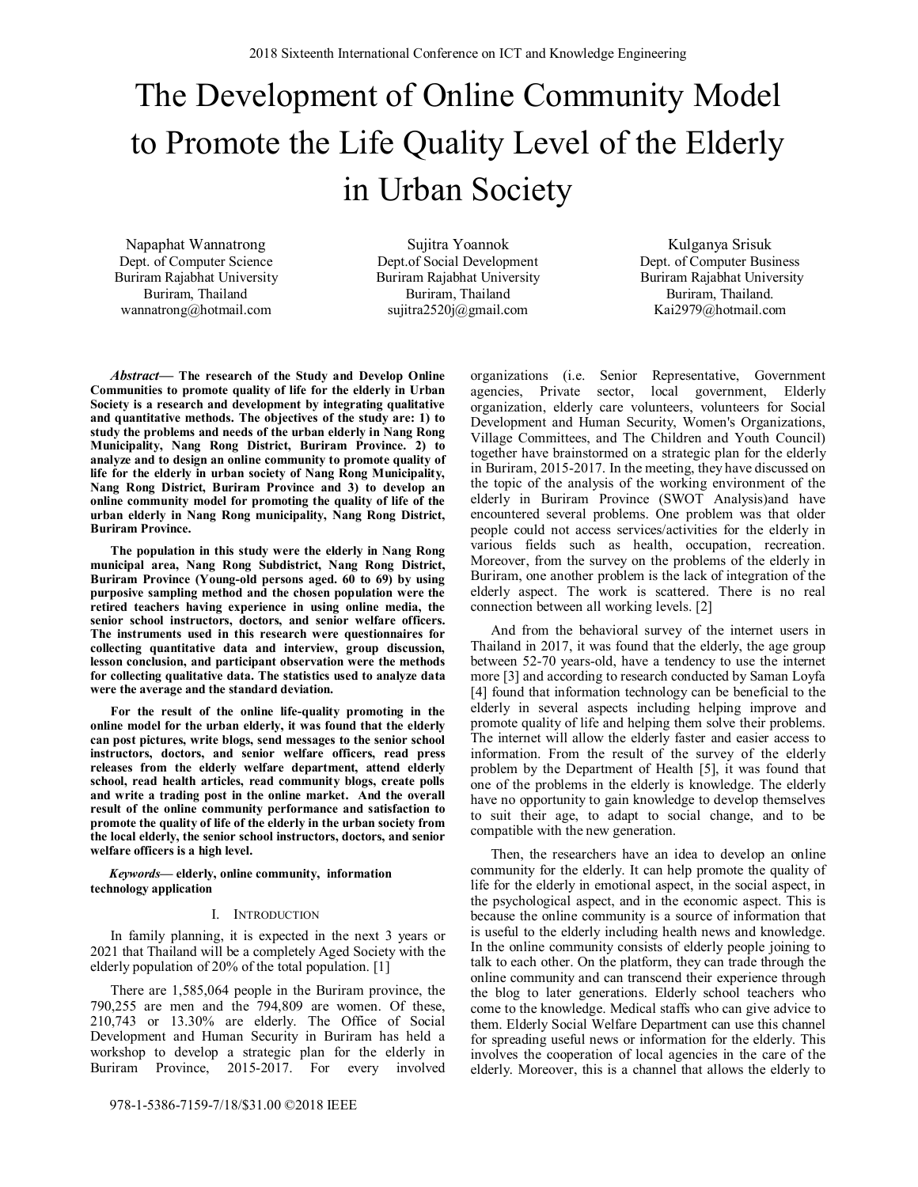# The Development of Online Community Model to Promote the Life Quality Level of the Elderly in Urban Society

Napaphat Wannatrong Dept. of Computer Science Buriram Rajabhat University Buriram, Thailand wannatrong@hotmail.com

Sujitra Yoannok Dept.of Social Development Buriram Rajabhat University Buriram, Thailand sujitra2520j@gmail.com

Kulganya Srisuk Dept. of Computer Business Buriram Rajabhat University Buriram, Thailand. Kai2979@hotmail.com

*Abstract***— The research of the Study and Develop Online Communities to promote quality of life for the elderly in Urban Society is a research and development by integrating qualitative and quantitative methods. The objectives of the study are: 1) to study the problems and needs of the urban elderly in Nang Rong Municipality, Nang Rong District, Buriram Province. 2) to analyze and to design an online community to promote quality of life for the elderly in urban society of Nang Rong Municipality, Nang Rong District, Buriram Province and 3) to develop an online community model for promoting the quality of life of the urban elderly in Nang Rong municipality, Nang Rong District, Buriram Province.**

**The population in this study were the elderly in Nang Rong municipal area, Nang Rong Subdistrict, Nang Rong District, Buriram Province (Young-old persons aged. 60 to 69) by using purposive sampling method and the chosen population were the retired teachers having experience in using online media, the senior school instructors, doctors, and senior welfare officers. The instruments used in this research were questionnaires for collecting quantitative data and interview, group discussion, lesson conclusion, and participant observation were the methods for collecting qualitative data. The statistics used to analyze data were the average and the standard deviation.** 

**For the result of the online life-quality promoting in the online model for the urban elderly, it was found that the elderly can post pictures, write blogs, send messages to the senior school instructors, doctors, and senior welfare officers, read press releases from the elderly welfare department, attend elderly school, read health articles, read community blogs, create polls and write a trading post in the online market. And the overall result of the online community performance and satisfaction to promote the quality of life of the elderly in the urban society from the local elderly, the senior school instructors, doctors, and senior welfare officers is a high level.**

*Keywords—* **elderly, online community, information technology application**

#### I. INTRODUCTION

In family planning, it is expected in the next 3 years or 2021 that Thailand will be a completely Aged Society with the elderly population of 20% of the total population. [1]

There are 1,585,064 people in the Buriram province, the 790,255 are men and the 794,809 are women. Of these, 210,743 or 13.30% are elderly. The Office of Social Development and Human Security in Buriram has held a workshop to develop a strategic plan for the elderly in Buriram Province, 2015-2017. For every involved organizations (i.e. Senior Representative, Government agencies, Private sector, local government, Elderly organization, elderly care volunteers, volunteers for Social Development and Human Security, Women's Organizations, Village Committees, and The Children and Youth Council) together have brainstormed on a strategic plan for the elderly in Buriram, 2015-2017. In the meeting, they have discussed on the topic of the analysis of the working environment of the elderly in Buriram Province (SWOT Analysis)and have encountered several problems. One problem was that older people could not access services/activities for the elderly in various fields such as health, occupation, recreation. Moreover, from the survey on the problems of the elderly in Buriram, one another problem is the lack of integration of the elderly aspect. The work is scattered. There is no real connection between all working levels. [2]

And from the behavioral survey of the internet users in Thailand in 2017, it was found that the elderly, the age group between 52-70 years-old, have a tendency to use the internet more [3] and according to research conducted by Saman Loyfa [4] found that information technology can be beneficial to the elderly in several aspects including helping improve and promote quality of life and helping them solve their problems. The internet will allow the elderly faster and easier access to information. From the result of the survey of the elderly problem by the Department of Health [5], it was found that one of the problems in the elderly is knowledge. The elderly have no opportunity to gain knowledge to develop themselves to suit their age, to adapt to social change, and to be compatible with the new generation.

Then, the researchers have an idea to develop an online community for the elderly. It can help promote the quality of life for the elderly in emotional aspect, in the social aspect, in the psychological aspect, and in the economic aspect. This is because the online community is a source of information that is useful to the elderly including health news and knowledge. In the online community consists of elderly people joining to talk to each other. On the platform, they can trade through the online community and can transcend their experience through the blog to later generations. Elderly school teachers who come to the knowledge. Medical staffs who can give advice to them. Elderly Social Welfare Department can use this channel for spreading useful news or information for the elderly. This involves the cooperation of local agencies in the care of the elderly. Moreover, this is a channel that allows the elderly to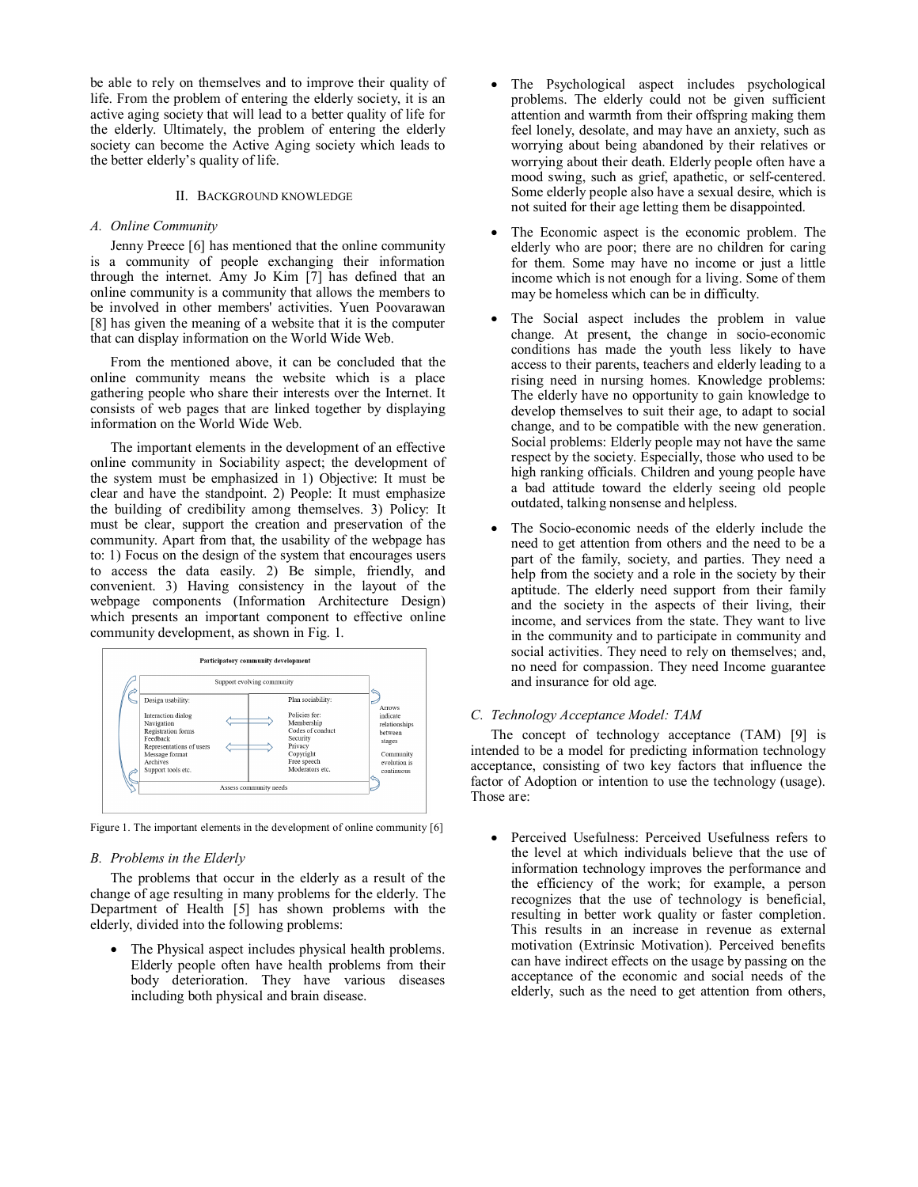be able to rely on themselves and to improve their quality of life. From the problem of entering the elderly society, it is an active aging society that will lead to a better quality of life for the elderly. Ultimately, the problem of entering the elderly society can become the Active Aging society which leads to the better elderly's quality of life.

# II. BACKGROUND KNOWLEDGE

#### *A. Online Community*

Jenny Preece [6] has mentioned that the online community is a community of people exchanging their information through the internet. Amy Jo Kim [7] has defined that an online community is a community that allows the members to be involved in other members' activities. Yuen Poovarawan [8] has given the meaning of a website that it is the computer that can display information on the World Wide Web.

From the mentioned above, it can be concluded that the online community means the website which is a place gathering people who share their interests over the Internet. It consists of web pages that are linked together by displaying information on the World Wide Web.

The important elements in the development of an effective online community in Sociability aspect; the development of the system must be emphasized in 1) Objective: It must be clear and have the standpoint. 2) People: It must emphasize the building of credibility among themselves. 3) Policy: It must be clear, support the creation and preservation of the community. Apart from that, the usability of the webpage has to: 1) Focus on the design of the system that encourages users to access the data easily. 2) Be simple, friendly, and convenient. 3) Having consistency in the layout of the webpage components (Information Architecture Design) which presents an important component to effective online community development, as shown in Fig. 1.



Figure 1. The important elements in the development of online community [6]

## *B. Problems in the Elderly*

The problems that occur in the elderly as a result of the change of age resulting in many problems for the elderly. The Department of Health [5] has shown problems with the elderly, divided into the following problems:

 The Physical aspect includes physical health problems. Elderly people often have health problems from their body deterioration. They have various diseases including both physical and brain disease.

- The Psychological aspect includes psychological problems. The elderly could not be given sufficient attention and warmth from their offspring making them feel lonely, desolate, and may have an anxiety, such as worrying about being abandoned by their relatives or worrying about their death. Elderly people often have a mood swing, such as grief, apathetic, or self-centered. Some elderly people also have a sexual desire, which is not suited for their age letting them be disappointed.
- The Economic aspect is the economic problem. The elderly who are poor; there are no children for caring for them. Some may have no income or just a little income which is not enough for a living. Some of them may be homeless which can be in difficulty.
- The Social aspect includes the problem in value change. At present, the change in socio-economic conditions has made the youth less likely to have access to their parents, teachers and elderly leading to a rising need in nursing homes. Knowledge problems: The elderly have no opportunity to gain knowledge to develop themselves to suit their age, to adapt to social change, and to be compatible with the new generation. Social problems: Elderly people may not have the same respect by the society. Especially, those who used to be high ranking officials. Children and young people have a bad attitude toward the elderly seeing old people outdated, talking nonsense and helpless.
- The Socio-economic needs of the elderly include the need to get attention from others and the need to be a part of the family, society, and parties. They need a help from the society and a role in the society by their aptitude. The elderly need support from their family and the society in the aspects of their living, their income, and services from the state. They want to live in the community and to participate in community and social activities. They need to rely on themselves; and, no need for compassion. They need Income guarantee and insurance for old age.

#### *C. Technology Acceptance Model: TAM*

The concept of technology acceptance (TAM) [9] is intended to be a model for predicting information technology acceptance, consisting of two key factors that influence the factor of Adoption or intention to use the technology (usage). Those are:

 Perceived Usefulness: Perceived Usefulness refers to the level at which individuals believe that the use of information technology improves the performance and the efficiency of the work; for example, a person recognizes that the use of technology is beneficial, resulting in better work quality or faster completion. This results in an increase in revenue as external motivation (Extrinsic Motivation). Perceived benefits can have indirect effects on the usage by passing on the acceptance of the economic and social needs of the elderly, such as the need to get attention from others,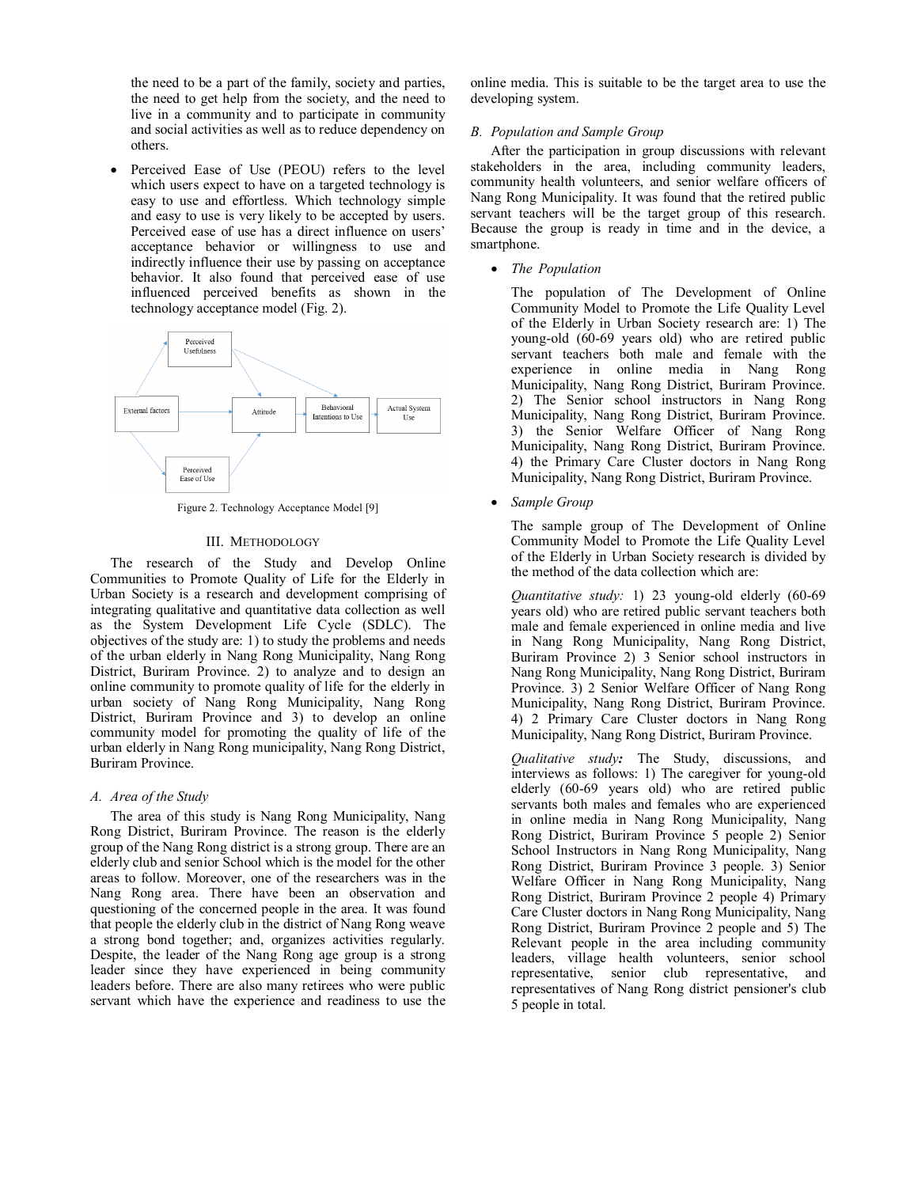the need to be a part of the family, society and parties, the need to get help from the society, and the need to live in a community and to participate in community and social activities as well as to reduce dependency on others.

 Perceived Ease of Use (PEOU) refers to the level which users expect to have on a targeted technology is easy to use and effortless. Which technology simple and easy to use is very likely to be accepted by users. Perceived ease of use has a direct influence on users' acceptance behavior or willingness to use and indirectly influence their use by passing on acceptance behavior. It also found that perceived ease of use influenced perceived benefits as shown in the technology acceptance model (Fig. 2).



Figure 2. Technology Acceptance Model [9]

### III. METHODOLOGY

The research of the Study and Develop Online Communities to Promote Quality of Life for the Elderly in Urban Society is a research and development comprising of integrating qualitative and quantitative data collection as well as the System Development Life Cycle (SDLC). The objectives of the study are: 1) to study the problems and needs of the urban elderly in Nang Rong Municipality, Nang Rong District, Buriram Province. 2) to analyze and to design an online community to promote quality of life for the elderly in urban society of Nang Rong Municipality, Nang Rong District, Buriram Province and 3) to develop an online community model for promoting the quality of life of the urban elderly in Nang Rong municipality, Nang Rong District, Buriram Province.

## *A. Area of the Study*

The area of this study is Nang Rong Municipality, Nang Rong District, Buriram Province. The reason is the elderly group of the Nang Rong district is a strong group. There are an elderly club and senior School which is the model for the other areas to follow. Moreover, one of the researchers was in the Nang Rong area. There have been an observation and questioning of the concerned people in the area. It was found that people the elderly club in the district of Nang Rong weave a strong bond together; and, organizes activities regularly. Despite, the leader of the Nang Rong age group is a strong leader since they have experienced in being community leaders before. There are also many retirees who were public servant which have the experience and readiness to use the

online media. This is suitable to be the target area to use the developing system.

## *B. Population and Sample Group*

After the participation in group discussions with relevant stakeholders in the area, including community leaders, community health volunteers, and senior welfare officers of Nang Rong Municipality. It was found that the retired public servant teachers will be the target group of this research. Because the group is ready in time and in the device, a smartphone.

*The Population*

The population of The Development of Online Community Model to Promote the Life Quality Level of the Elderly in Urban Society research are: 1) The young-old (60-69 years old) who are retired public servant teachers both male and female with the experience in online media in Nang Rong Municipality, Nang Rong District, Buriram Province. 2) The Senior school instructors in Nang Rong Municipality, Nang Rong District, Buriram Province. 3) the Senior Welfare Officer of Nang Rong Municipality, Nang Rong District, Buriram Province. 4) the Primary Care Cluster doctors in Nang Rong Municipality, Nang Rong District, Buriram Province.

*Sample Group*

The sample group of The Development of Online Community Model to Promote the Life Quality Level of the Elderly in Urban Society research is divided by the method of the data collection which are:

*Quantitative study:* 1) 23 young-old elderly (60-69 years old) who are retired public servant teachers both male and female experienced in online media and live in Nang Rong Municipality, Nang Rong District, Buriram Province 2) 3 Senior school instructors in Nang Rong Municipality, Nang Rong District, Buriram Province. 3) 2 Senior Welfare Officer of Nang Rong Municipality, Nang Rong District, Buriram Province. 4) 2 Primary Care Cluster doctors in Nang Rong Municipality, Nang Rong District, Buriram Province.

*Qualitative study:* The Study, discussions, and interviews as follows: 1) The caregiver for young-old elderly (60-69 years old) who are retired public servants both males and females who are experienced in online media in Nang Rong Municipality, Nang Rong District, Buriram Province 5 people 2) Senior School Instructors in Nang Rong Municipality, Nang Rong District, Buriram Province 3 people. 3) Senior Welfare Officer in Nang Rong Municipality, Nang Rong District, Buriram Province 2 people 4) Primary Care Cluster doctors in Nang Rong Municipality, Nang Rong District, Buriram Province 2 people and 5) The Relevant people in the area including community leaders, village health volunteers, senior school representative, senior club representative, and representatives of Nang Rong district pensioner's club 5 people in total.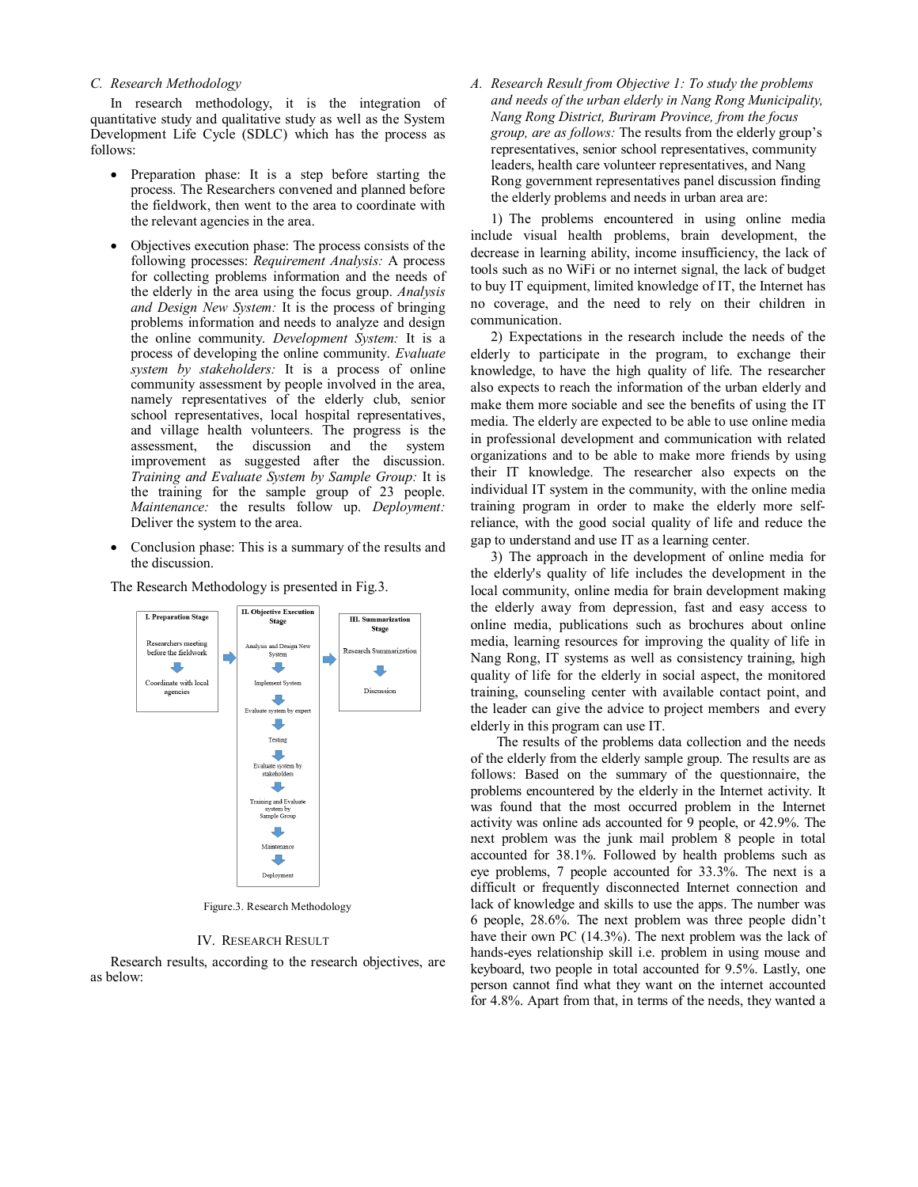# *C. Research Methodology*

In research methodology, it is the integration of quantitative study and qualitative study as well as the System Development Life Cycle (SDLC) which has the process as follows:

- Preparation phase: It is a step before starting the process. The Researchers convened and planned before the fieldwork, then went to the area to coordinate with the relevant agencies in the area.
- Objectives execution phase: The process consists of the following processes: *Requirement Analysis:* A process for collecting problems information and the needs of the elderly in the area using the focus group. *Analysis and Design New System:* It is the process of bringing problems information and needs to analyze and design the online community. *Development System:* It is a process of developing the online community. *Evaluate system by stakeholders:* It is a process of online community assessment by people involved in the area, namely representatives of the elderly club, senior school representatives, local hospital representatives, and village health volunteers. The progress is the assessment, the discussion and the system improvement as suggested after the discussion. *Training and Evaluate System by Sample Group:* It is the training for the sample group of 23 people. *Maintenance:* the results follow up. *Deployment:* Deliver the system to the area.
- Conclusion phase: This is a summary of the results and the discussion.



The Research Methodology is presented in Fig.3.

Figure.3. Research Methodology

# IV. RESEARCH RESULT

Research results, according to the research objectives, are as below:

*A. Research Result from Objective 1: To study the problems and needs of the urban elderly in Nang Rong Municipality, Nang Rong District, Buriram Province, from the focus group, are as follows:* The results from the elderly group's representatives, senior school representatives, community leaders, health care volunteer representatives, and Nang Rong government representatives panel discussion finding the elderly problems and needs in urban area are:

1) The problems encountered in using online media include visual health problems, brain development, the decrease in learning ability, income insufficiency, the lack of tools such as no WiFi or no internet signal, the lack of budget to buy IT equipment, limited knowledge of IT, the Internet has no coverage, and the need to rely on their children in communication.

2) Expectations in the research include the needs of the elderly to participate in the program, to exchange their knowledge, to have the high quality of life. The researcher also expects to reach the information of the urban elderly and make them more sociable and see the benefits of using the IT media. The elderly are expected to be able to use online media in professional development and communication with related organizations and to be able to make more friends by using their IT knowledge. The researcher also expects on the individual IT system in the community, with the online media training program in order to make the elderly more selfreliance, with the good social quality of life and reduce the gap to understand and use IT as a learning center.

3) The approach in the development of online media for the elderly's quality of life includes the development in the local community, online media for brain development making the elderly away from depression, fast and easy access to online media, publications such as brochures about online media, learning resources for improving the quality of life in Nang Rong, IT systems as well as consistency training, high quality of life for the elderly in social aspect, the monitored training, counseling center with available contact point, and the leader can give the advice to project members and every elderly in this program can use IT.

 The results of the problems data collection and the needs of the elderly from the elderly sample group. The results are as follows: Based on the summary of the questionnaire, the problems encountered by the elderly in the Internet activity. It was found that the most occurred problem in the Internet activity was online ads accounted for 9 people, or 42.9%. The next problem was the junk mail problem 8 people in total accounted for 38.1%. Followed by health problems such as eye problems, 7 people accounted for 33.3%. The next is a difficult or frequently disconnected Internet connection and lack of knowledge and skills to use the apps. The number was 6 people, 28.6%. The next problem was three people didn't have their own PC (14.3%). The next problem was the lack of hands-eyes relationship skill i.e. problem in using mouse and keyboard, two people in total accounted for 9.5%. Lastly, one person cannot find what they want on the internet accounted for 4.8%. Apart from that, in terms of the needs, they wanted a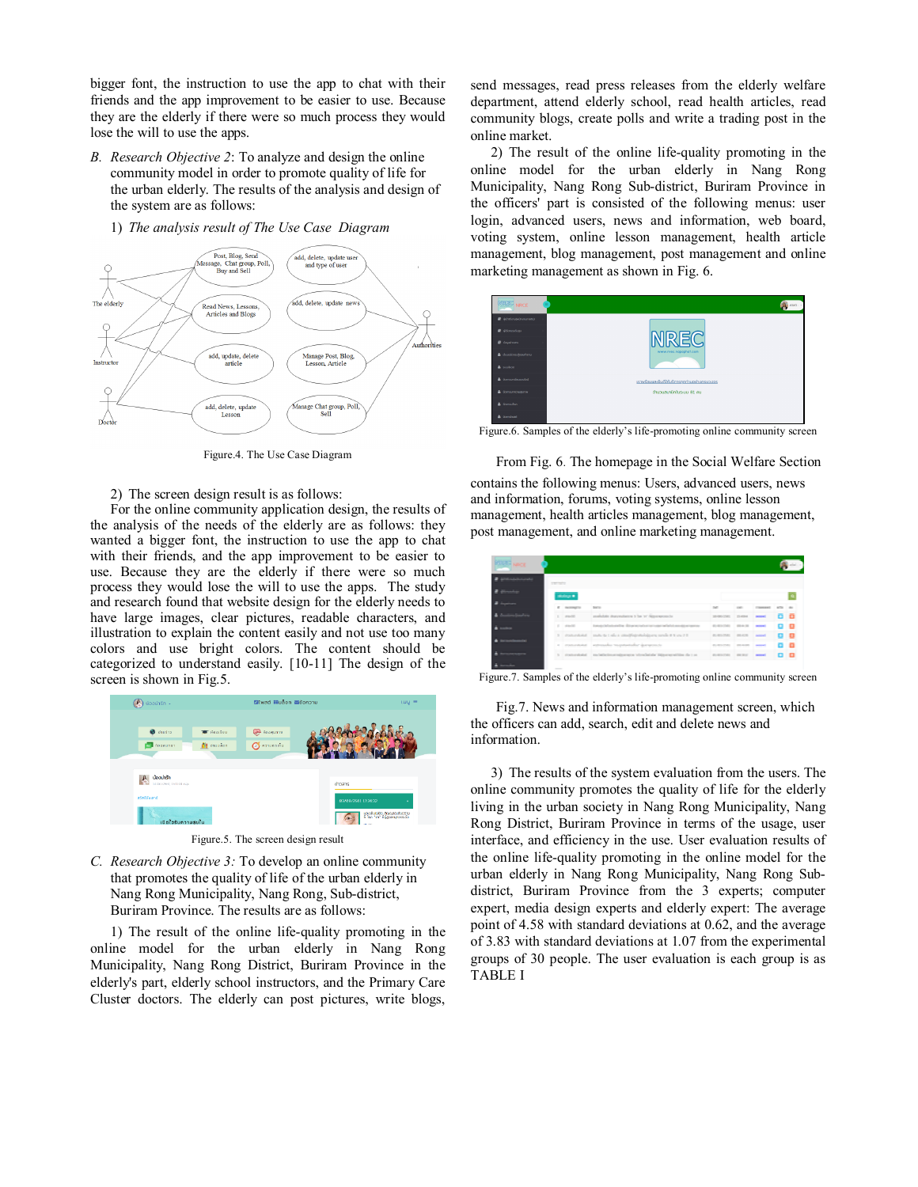bigger font, the instruction to use the app to chat with their friends and the app improvement to be easier to use. Because they are the elderly if there were so much process they would lose the will to use the apps.

- *B. Research Objective 2*: To analyze and design the online community model in order to promote quality of life for the urban elderly. The results of the analysis and design of the system are as follows:
	- 1) *The analysis result of The Use Case Diagram*



Figure.4. The Use Case Diagram

2) The screen design result is as follows:

For the online community application design, the results of the analysis of the needs of the elderly are as follows: they wanted a bigger font, the instruction to use the app to chat with their friends, and the app improvement to be easier to use. Because they are the elderly if there were so much process they would lose the will to use the apps. The study and research found that website design for the elderly needs to have large images, clear pictures, readable characters, and illustration to explain the content easily and not use too many colors and use bright colors. The content should be categorized to understand easily. [10-11] The design of the screen is shown in Fig.5.



Figure.5. The screen design result

*C. Research Objective 3:* To develop an online community that promotes the quality of life of the urban elderly in Nang Rong Municipality, Nang Rong, Sub-district, Buriram Province. The results are as follows:

1) The result of the online life-quality promoting in the online model for the urban elderly in Nang Rong Municipality, Nang Rong District, Buriram Province in the elderly's part, elderly school instructors, and the Primary Care Cluster doctors. The elderly can post pictures, write blogs,

send messages, read press releases from the elderly welfare department, attend elderly school, read health articles, read community blogs, create polls and write a trading post in the online market.

2) The result of the online life-quality promoting in the online model for the urban elderly in Nang Rong Municipality, Nang Rong Sub-district, Buriram Province in the officers' part is consisted of the following menus: user login, advanced users, news and information, web board, voting system, online lesson management, health article management, blog management, post management and online marketing management as shown in Fig. 6.



Figure.6. Samples of the elderly's life-promoting online community screen

From Fig. 6. The homepage in the Social Welfare Section contains the following menus: Users, advanced users, news and information, forums, voting systems, online lesson management, health articles management, blog management, post management, and online marketing management.

| <b>ATLET NAMED</b>                      |        |                       |                                                                  |                  |                 |                                                                                                                                                                                                                                                                                                                                                                                                                                                                            |       |       |
|-----------------------------------------|--------|-----------------------|------------------------------------------------------------------|------------------|-----------------|----------------------------------------------------------------------------------------------------------------------------------------------------------------------------------------------------------------------------------------------------------------------------------------------------------------------------------------------------------------------------------------------------------------------------------------------------------------------------|-------|-------|
| Acceleration and Con-                   | centri |                       |                                                                  |                  |                 |                                                                                                                                                                                                                                                                                                                                                                                                                                                                            |       |       |
| <b>Distances</b>                        |        |                       |                                                                  |                  |                 |                                                                                                                                                                                                                                                                                                                                                                                                                                                                            |       |       |
| <b>STATISTICS</b>                       | ×      | <b>Homes</b>          | <b>Director</b>                                                  | m                | m               | C Donor and                                                                                                                                                                                                                                                                                                                                                                                                                                                                | acts. | 1,000 |
| <b><i><u>Institute Grandman</u></i></b> | B.     | reads.                | malability increasing in the art Sigurapounds.                   | <b>BE-RECORD</b> | (5 kins)        | $\frac{1}{2}$                                                                                                                                                                                                                                                                                                                                                                                                                                                              | п     | - 13  |
| <b>Harry</b>                            | ×      | and it.               | tonogethetics and he dissupersystem responsibilities algorithmen | <b>BURDER</b>    | <b>HOWA</b>     | $\frac{1}{2} \left( \frac{1}{2} \right) \left( \frac{1}{2} \right) \left( \frac{1}{2} \right) \left( \frac{1}{2} \right) \left( \frac{1}{2} \right) \left( \frac{1}{2} \right) \left( \frac{1}{2} \right) \left( \frac{1}{2} \right) \left( \frac{1}{2} \right) \left( \frac{1}{2} \right) \left( \frac{1}{2} \right) \left( \frac{1}{2} \right) \left( \frac{1}{2} \right) \left( \frac{1}{2} \right) \left( \frac{1}{2} \right) \left( \frac{1}{2} \right) \left( \frac$ | п     |       |
| <b>Brown Advisor Rev</b>                | и      | distribution and a    | make the Lothical constitutional substances member it area it in | <b>BURGHARE</b>  | <b>HILAUS</b>   | $\frac{1}{2}$                                                                                                                                                                                                                                                                                                                                                                                                                                                              | п     | - 13  |
|                                         | и      | contract of the start | extremalise transduction decomposade                             | <b>BURNING</b>   | and an extent   | <b>Service</b>                                                                                                                                                                                                                                                                                                                                                                                                                                                             | в     | m     |
| <b>CONTRACTOR</b>                       | $\sim$ | distances and a       | mobile incompanyon wheelastate this expectation the test         | <b>BURNING</b>   | <b>AND REAL</b> | <b>Service</b>                                                                                                                                                                                                                                                                                                                                                                                                                                                             |       |       |

Figure.7. Samples of the elderly's life-promoting online community screen

Fig.7. News and information management screen, which the officers can add, search, edit and delete news and information.

3) The results of the system evaluation from the users. The online community promotes the quality of life for the elderly living in the urban society in Nang Rong Municipality, Nang Rong District, Buriram Province in terms of the usage, user interface, and efficiency in the use. User evaluation results of the online life-quality promoting in the online model for the urban elderly in Nang Rong Municipality, Nang Rong Subdistrict, Buriram Province from the 3 experts; computer expert, media design experts and elderly expert: The average point of 4.58 with standard deviations at 0.62, and the average of 3.83 with standard deviations at 1.07 from the experimental groups of 30 people. The user evaluation is each group is as TABLE I